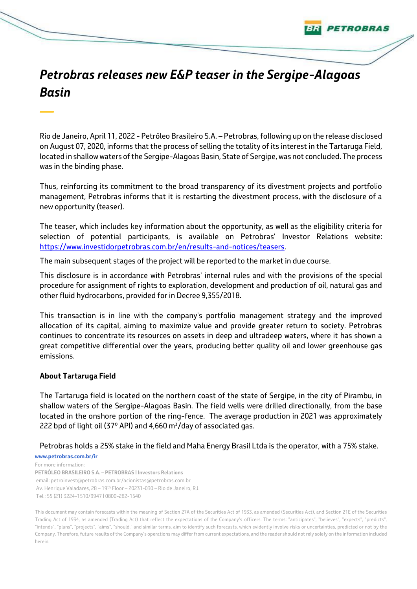## *Petrobras releases new E&P teaser in the Sergipe-Alagoas Basin*

ETROBRAS

Rio de Janeiro, April 11, 2022 - Petróleo Brasileiro S.A. – Petrobras, following up on the release disclosed on August 07, 2020, informs that the process of selling the totality of its interest in the Tartaruga Field, located in shallow waters of the Sergipe-Alagoas Basin, State of Sergipe, was not concluded. The process was in the binding phase.

Thus, reinforcing its commitment to the broad transparency of its divestment projects and portfolio management, Petrobras informs that it is restarting the divestment process, with the disclosure of a new opportunity (teaser).

The teaser, which includes key information about the opportunity, as well as the eligibility criteria for selection of potential participants, is available on Petrobras' Investor Relations website: [https://www.investidorpetrobras.com.br/en/results-and-notices/teasers.](https://www.investidorpetrobras.com.br/en/results-and-notices/teasers)

The main subsequent stages of the project will be reported to the market in due course.

This disclosure is in accordance with Petrobras' internal rules and with the provisions of the special procedure for assignment of rights to exploration, development and production of oil, natural gas and other fluid hydrocarbons, provided for in Decree 9,355/2018.

This transaction is in line with the company's portfolio management strategy and the improved allocation of its capital, aiming to maximize value and provide greater return to society. Petrobras continues to concentrate its resources on assets in deep and ultradeep waters, where it has shown a great competitive differential over the years, producing better quality oil and lower greenhouse gas emissions.

## **About Tartaruga Field**

*—*

The Tartaruga field is located on the northern coast of the state of Sergipe, in the city of Pirambu, in shallow waters of the Sergipe-Alagoas Basin. The field wells were drilled directionally, from the base located in the onshore portion of the ring-fence. The average production in 2021 was approximately 222 bpd of light oil (37 $\degree$  API) and 4,660 m<sup>3</sup>/day of associated gas.

Petrobras holds a 25% stake in the field and Maha Energy Brasil Ltda is the operator, with a 75% stake.

**www.petrobras.com.br/ir** For more information:

**PETRÓLEO BRASILEIRO S.A. – PETROBRAS | Investors Relations** email: petroinvest@petrobras.com.br/acionistas@petrobras.com.br Av. Henrique Valadares, 28 – 19th Floor – 20231-030 – Rio de Janeiro, RJ. Tel.: 55 (21) 3224-1510/9947 | 0800-282-1540

This document may contain forecasts within the meaning of Section 27A of the Securities Act of 1933, as amended (Securities Act), and Section 21E of the Securities Trading Act of 1934, as amended (Trading Act) that reflect the expectations of the Company's officers. The terms: "anticipates", "believes", "expects", "predicts", "intends", "plans", "projects", "aims", "should," and similar terms, aim to identify such forecasts, which evidently involve risks or uncertainties, predicted or not by the Company. Therefore, future results of the Company's operations may differ from current expectations, and the reader should not rely solely on the information included herein.